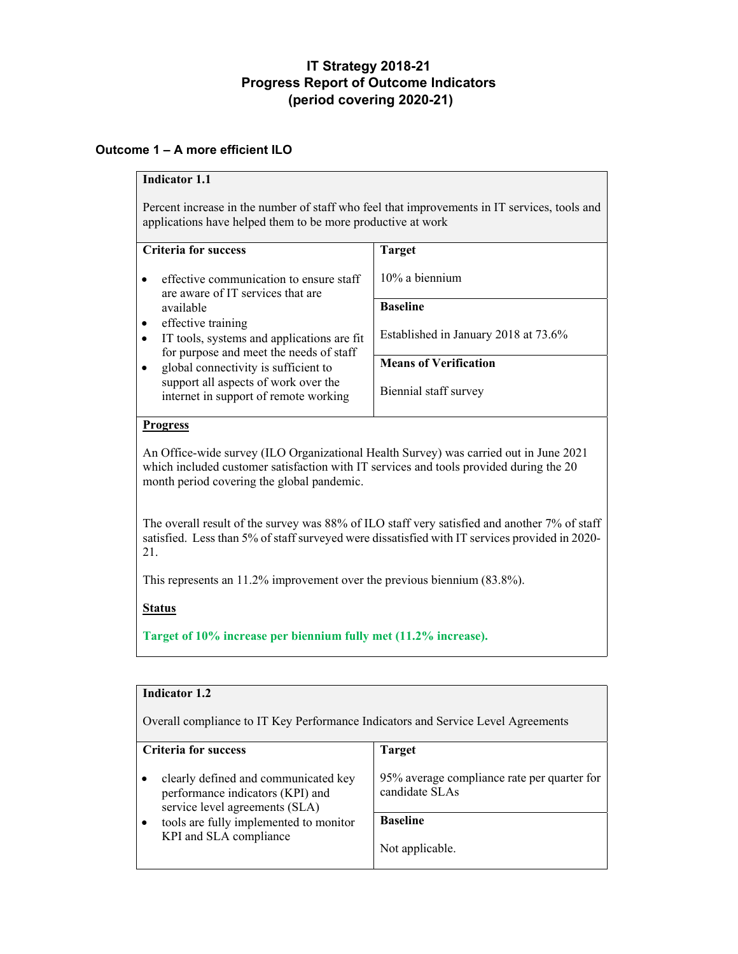# **IT Strategy 2018-21 Progress Report of Outcome Indicators (period covering 2020-21)**

# **Outcome 1 – A more efficient ILO**

# **Indicator 1.1**

Percent increase in the number of staff who feel that improvements in IT services, tools and applications have helped them to be more productive at work

| <b>Criteria for success</b>                                                   | <b>Target</b>                        |
|-------------------------------------------------------------------------------|--------------------------------------|
| effective communication to ensure staff<br>are aware of IT services that are  | $10\%$ a biennium                    |
| available                                                                     | <b>Baseline</b>                      |
| effective training<br>$\bullet$                                               |                                      |
| IT tools, systems and applications are fit                                    | Established in January 2018 at 73.6% |
| for purpose and meet the needs of staff                                       |                                      |
| global connectivity is sufficient to                                          | <b>Means of Verification</b>         |
| support all aspects of work over the<br>internet in support of remote working | Biennial staff survey                |

## **Progress**

An Office-wide survey (ILO Organizational Health Survey) was carried out in June 2021 which included customer satisfaction with IT services and tools provided during the 20 month period covering the global pandemic.

The overall result of the survey was 88% of ILO staff very satisfied and another 7% of staff satisfied. Less than 5% of staff surveyed were dissatisfied with IT services provided in 2020- 21.

This represents an 11.2% improvement over the previous biennium (83.8%).

# **Status**

**Indicator 1.2**

**Target of 10% increase per biennium fully met (11.2% increase).**

|                                                                                  | Indicator 1.2                                                                                              |                                                               |  |
|----------------------------------------------------------------------------------|------------------------------------------------------------------------------------------------------------|---------------------------------------------------------------|--|
| Overall compliance to IT Key Performance Indicators and Service Level Agreements |                                                                                                            |                                                               |  |
|                                                                                  | <b>Criteria for success</b>                                                                                | <b>Target</b>                                                 |  |
|                                                                                  | clearly defined and communicated key<br>performance indicators (KPI) and<br>service level agreements (SLA) | 95% average compliance rate per quarter for<br>candidate SLAs |  |
| tools are fully implemented to monitor<br>KPI and SLA compliance                 | <b>Baseline</b>                                                                                            |                                                               |  |
|                                                                                  | Not applicable.                                                                                            |                                                               |  |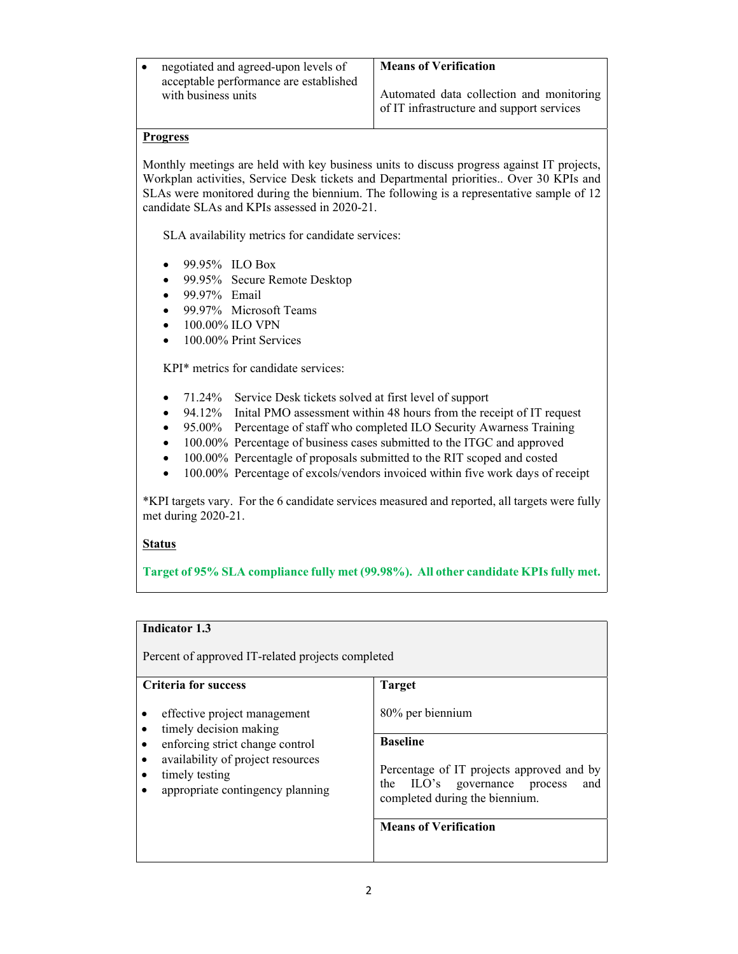| negotiated and agreed-upon levels of   | <b>Means of Verification</b>              |
|----------------------------------------|-------------------------------------------|
| acceptable performance are established |                                           |
| with business units                    | Automated data collection and monitoring  |
|                                        | of IT infrastructure and support services |

Monthly meetings are held with key business units to discuss progress against IT projects, Workplan activities, Service Desk tickets and Departmental priorities.. Over 30 KPIs and SLAs were monitored during the biennium. The following is a representative sample of 12 candidate SLAs and KPIs assessed in 2020-21.

SLA availability metrics for candidate services:

- 99.95% ILO Box
- 99.95% Secure Remote Desktop
- 99.97% Email
- 99.97% Microsoft Teams
- 100.00% ILO VPN
- 100.00% Print Services

KPI\* metrics for candidate services:

- 71.24% Service Desk tickets solved at first level of support
- 94.12% Inital PMO assessment within 48 hours from the receipt of IT request
- 95.00% Percentage of staff who completed ILO Security Awarness Training
- 100.00% Percentage of business cases submitted to the ITGC and approved
- 100.00% Percentagle of proposals submitted to the RIT scoped and costed
- 100.00% Percentage of excols/vendors invoiced within five work days of receipt

\*KPI targets vary. For the 6 candidate services measured and reported, all targets were fully met during 2020-21.

### **Status**

**Target of 95% SLA compliance fully met (99.98%). All other candidate KPIs fully met.**

## **Indicator 1.3**

Percent of approved IT-related projects completed

| <b>Criteria for success</b>                                                             | <b>Target</b>                                                                                                         |
|-----------------------------------------------------------------------------------------|-----------------------------------------------------------------------------------------------------------------------|
| effective project management<br>timely decision making                                  | 80% per biennium                                                                                                      |
| enforcing strict change control                                                         | <b>Baseline</b>                                                                                                       |
| availability of project resources<br>timely testing<br>appropriate contingency planning | Percentage of IT projects approved and by<br>the ILO's<br>governance process<br>and<br>completed during the biennium. |
|                                                                                         | <b>Means of Verification</b>                                                                                          |
|                                                                                         |                                                                                                                       |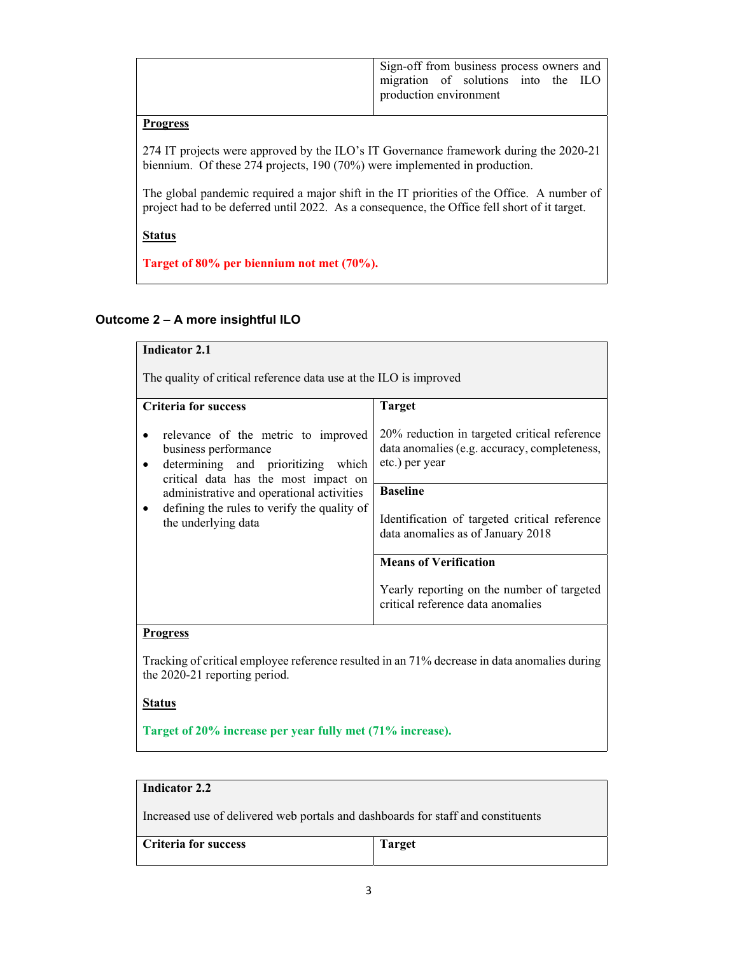| Sign-off from business process owners and |  |  |  |
|-------------------------------------------|--|--|--|
| migration of solutions into the ILO       |  |  |  |
| production environment                    |  |  |  |
|                                           |  |  |  |

274 IT projects were approved by the ILO's IT Governance framework during the 2020-21 biennium. Of these 274 projects, 190 (70%) were implemented in production.

The global pandemic required a major shift in the IT priorities of the Office. A number of project had to be deferred until 2022. As a consequence, the Office fell short of it target.

**Status** 

**Target of 80% per biennium not met (70%).**

# **Outcome 2 – A more insightful ILO**

| <b>Indicator 2.1</b>                                                                                                                                                                   |                                                                                                                |  |  |
|----------------------------------------------------------------------------------------------------------------------------------------------------------------------------------------|----------------------------------------------------------------------------------------------------------------|--|--|
| The quality of critical reference data use at the ILO is improved                                                                                                                      |                                                                                                                |  |  |
| <b>Criteria for success</b>                                                                                                                                                            | <b>Target</b>                                                                                                  |  |  |
| relevance of the metric to improved<br>business performance<br>determining and prioritizing which<br>critical data has the most impact on<br>administrative and operational activities | 20% reduction in targeted critical reference<br>data anomalies (e.g. accuracy, completeness,<br>etc.) per year |  |  |
|                                                                                                                                                                                        | <b>Baseline</b>                                                                                                |  |  |
| defining the rules to verify the quality of<br>the underlying data                                                                                                                     | Identification of targeted critical reference<br>data anomalies as of January 2018                             |  |  |
|                                                                                                                                                                                        | <b>Means of Verification</b>                                                                                   |  |  |
|                                                                                                                                                                                        | Yearly reporting on the number of targeted<br>critical reference data anomalies                                |  |  |
| <b>Progress</b>                                                                                                                                                                        |                                                                                                                |  |  |
| Tracking of critical employee reference resulted in an 71% decrease in data anomalies during<br>the 2020-21 reporting period.                                                          |                                                                                                                |  |  |

## **Status**

**Target of 20% increase per year fully met (71% increase).**

# **Indicator 2.2**

Increased use of delivered web portals and dashboards for staff and constituents

| <b>Criteria for success</b> | m<br>arget |
|-----------------------------|------------|
|                             |            |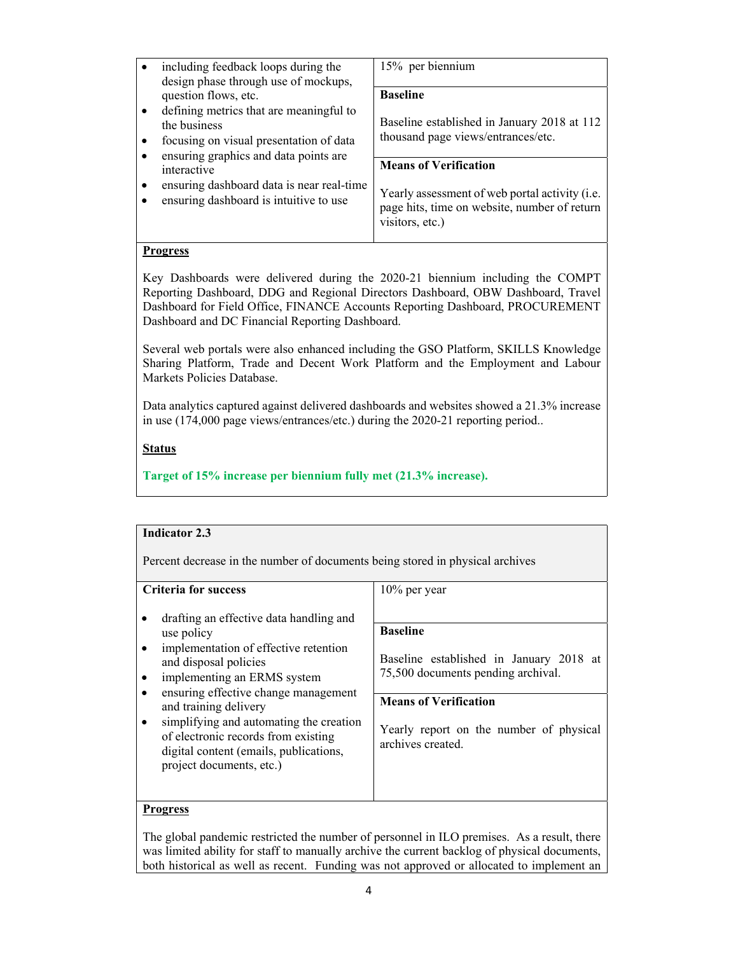| 15% per biennium<br>including feedback loops during the<br>$\bullet$                                                                                                                                                                         |  |
|----------------------------------------------------------------------------------------------------------------------------------------------------------------------------------------------------------------------------------------------|--|
|                                                                                                                                                                                                                                              |  |
| design phase through use of mockups,<br><b>Baseline</b><br>question flows, etc.                                                                                                                                                              |  |
| defining metrics that are meaningful to<br>$\bullet$<br>Baseline established in January 2018 at 112<br>the business<br>thousand page views/entrances/etc.<br>focusing on visual presentation of data<br>$\bullet$                            |  |
| ensuring graphics and data points are<br>$\bullet$<br><b>Means of Verification</b><br>interactive                                                                                                                                            |  |
| ensuring dashboard data is near real-time<br>$\bullet$<br>Yearly assessment of web portal activity ( <i>i.e.</i> )<br>ensuring dashboard is intuitive to use<br>$\bullet$<br>page hits, time on website, number of return<br>visitors, etc.) |  |

Key Dashboards were delivered during the 2020-21 biennium including the COMPT Reporting Dashboard, DDG and Regional Directors Dashboard, OBW Dashboard, Travel Dashboard for Field Office, FINANCE Accounts Reporting Dashboard, PROCUREMENT Dashboard and DC Financial Reporting Dashboard.

Several web portals were also enhanced including the GSO Platform, SKILLS Knowledge Sharing Platform, Trade and Decent Work Platform and the Employment and Labour Markets Policies Database.

Data analytics captured against delivered dashboards and websites showed a 21.3% increase in use (174,000 page views/entrances/etc.) during the 2020-21 reporting period..

## **Status**

**Target of 15% increase per biennium fully met (21.3% increase).**

| <b>Indicator 2.3</b>                                                                                                                                                                                                                                                                                                                                                                                    |                                                                                                                                                                                                                     |  |  |
|---------------------------------------------------------------------------------------------------------------------------------------------------------------------------------------------------------------------------------------------------------------------------------------------------------------------------------------------------------------------------------------------------------|---------------------------------------------------------------------------------------------------------------------------------------------------------------------------------------------------------------------|--|--|
| Percent decrease in the number of documents being stored in physical archives                                                                                                                                                                                                                                                                                                                           |                                                                                                                                                                                                                     |  |  |
| Criteria for success<br>drafting an effective data handling and<br>use policy<br>implementation of effective retention<br>and disposal policies<br>implementing an ERMS system<br>ensuring effective change management<br>and training delivery<br>simplifying and automating the creation<br>of electronic records from existing<br>digital content (emails, publications,<br>project documents, etc.) | $10\%$ per year<br><b>Baseline</b><br>Baseline established in January 2018 at<br>75,500 documents pending archival.<br><b>Means of Verification</b><br>Yearly report on the number of physical<br>archives created. |  |  |
| Progress                                                                                                                                                                                                                                                                                                                                                                                                |                                                                                                                                                                                                                     |  |  |

The global pandemic restricted the number of personnel in ILO premises. As a result, there was limited ability for staff to manually archive the current backlog of physical documents, both historical as well as recent. Funding was not approved or allocated to implement an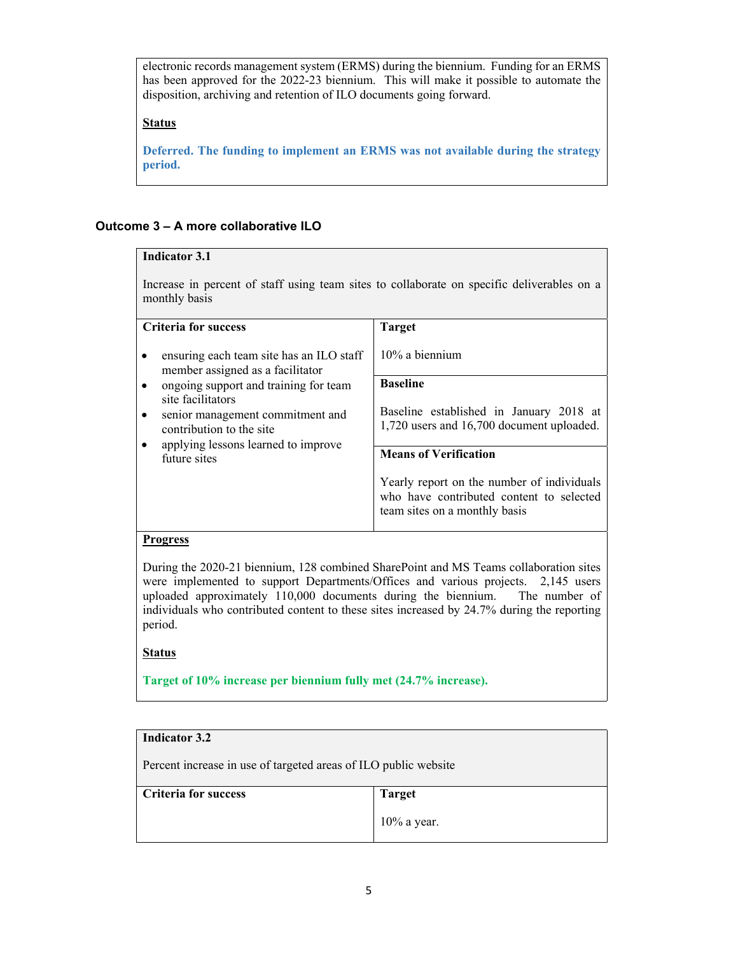electronic records management system (ERMS) during the biennium. Funding for an ERMS has been approved for the 2022-23 biennium. This will make it possible to automate the disposition, archiving and retention of ILO documents going forward.

## **Status**

**Deferred. The funding to implement an ERMS was not available during the strategy period.**

# **Outcome 3 – A more collaborative ILO**

#### **Indicator 3.1** Increase in percent of staff using team sites to collaborate on specific deliverables on a monthly basis **Criteria for success**  ensuring each team site has an ILO staff member assigned as a facilitator • ongoing support and training for team site facilitators senior management commitment and contribution to the site applying lessons learned to improve future sites **Target**  10% a biennium **Baseline**  Baseline established in January 2018 at 1,720 users and 16,700 document uploaded. **Means of Verification**  Yearly report on the number of individuals who have contributed content to selected team sites on a monthly basis

### **Progress**

During the 2020-21 biennium, 128 combined SharePoint and MS Teams collaboration sites were implemented to support Departments/Offices and various projects. 2,145 users uploaded approximately 110,000 documents during the biennium. The number of individuals who contributed content to these sites increased by 24.7% during the reporting period.

### **Status**

**Target of 10% increase per biennium fully met (24.7% increase).**

| Indicator 3.2                                                   |                |  |
|-----------------------------------------------------------------|----------------|--|
| Percent increase in use of targeted areas of ILO public website |                |  |
| <b>Criteria for success</b>                                     | <b>Target</b>  |  |
|                                                                 | $10\%$ a year. |  |